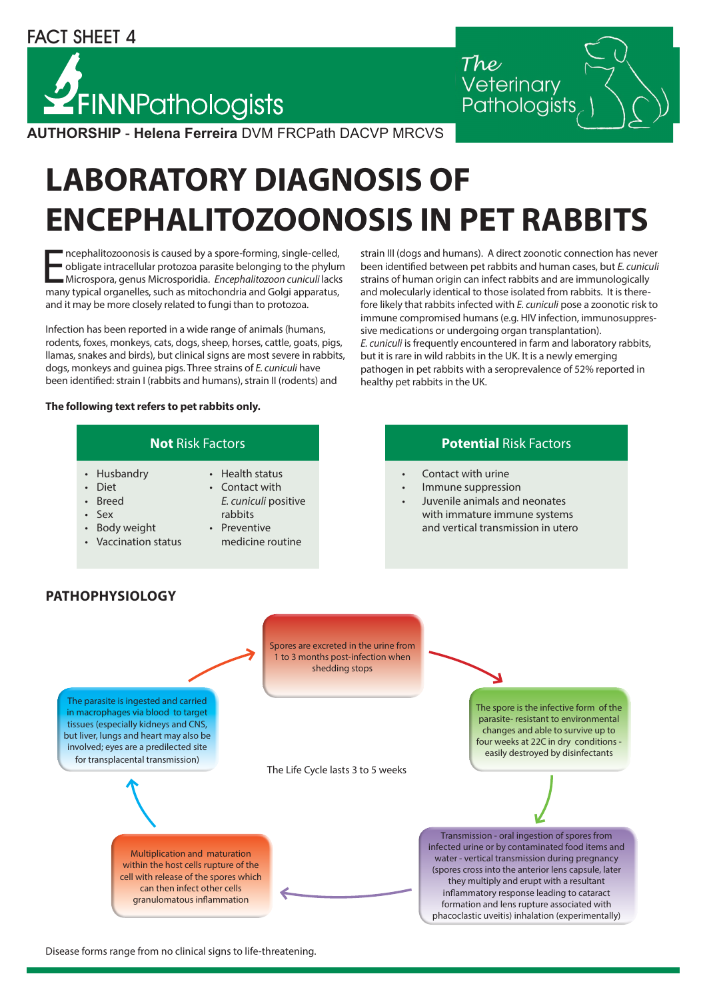# FACT SHEET 4





**Authorship** - **Helena Ferreira** DVM FRCPath DACVP MRCVS

# **LABORATORY DIAGNOSIS OF ENCEPHALITOZOONOSIS IN PET RABBITS**

manephalitozoonosis is caused by a spore-forming, single-celled,<br>
bligate intracellular protozoa parasite belonging to the phylun<br>
Microspora, genus Microsporidia. *Encephalitozoon cuniculi* lacks<br>
many typical organelles, ncephalitozoonosis is caused by a spore-forming, single-celled, obligate intracellular protozoa parasite belonging to the phylum Microspora, genus Microsporidia. *Encephalitozoon cuniculi* lacks and it may be more closely related to fungi than to protozoa.

Infection has been reported in a wide range of animals (humans, rodents, foxes, monkeys, cats, dogs, sheep, horses, cattle, goats, pigs, llamas, snakes and birds), but clinical signs are most severe in rabbits, dogs, monkeys and guinea pigs. Three strains of *E. cuniculi* have been identified: strain I (rabbits and humans), strain II (rodents) and

**The following text refers to pet rabbits only.**

strain III (dogs and humans). A direct zoonotic connection has never been identified between pet rabbits and human cases, but *E. cuniculi* strains of human origin can infect rabbits and are immunologically and molecularly identical to those isolated from rabbits. It is therefore likely that rabbits infected with *E. cuniculi* pose a zoonotic risk to immune compromised humans (e.g. HIV infection, immunosuppressive medications or undergoing organ transplantation). *E. cuniculi* is frequently encountered in farm and laboratory rabbits, but it is rare in wild rabbits in the UK. It is a newly emerging pathogen in pet rabbits with a seroprevalence of 52% reported in healthy pet rabbits in the UK.

# **Not** Risk Factors

- Husbandry
- Diet
- Health status • Contact with
- Breed • Sex
- Body weight
- Vaccination status
- *E. cuniculi* positive rabbits • Preventive
- medicine routine

## **Potential** Risk Factors

- Contact with urine
- Immune suppression • Juvenile animals and neonates
- with immature immune systems and vertical transmission in utero

# **Pathophysiology**



Disease forms range from no clinical signs to life-threatening.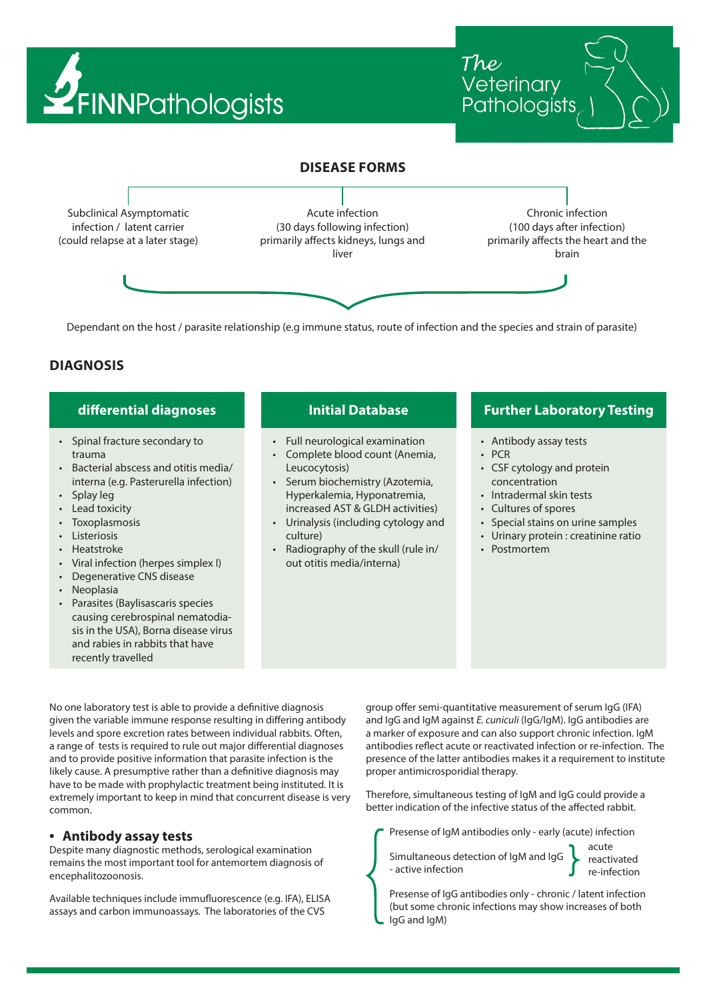

/eterinarv Pathologists



**Diagnosis**

# **differential diagnoses**

- Spinal fracture secondary to trauma
- Bacterial abscess and otitis media/ interna (e.g. Pasterurella infection)
- Splay leg
- Lead toxicity
- **Toxoplasmosis**
- Listeriosis
- Heatstroke
- Viral infection (herpes simplex I)
- Degenerative CNS disease
- **Neoplasia**
- Parasites (Baylisascaris species causing cerebrospinal nematodiasis in the USA), Borna disease virus and rabies in rabbits that have recently travelled

#### **Initial Database**

- Full neurological examination
- Complete blood count (Anemia, Leucocytosis)
- Serum biochemistry (Azotemia, Hyperkalemia, Hyponatremia, increased AST & GLDH activities)
- Urinalysis (including cytology and culture)
- Radiography of the skull (rule in/ out otitis media/interna)

## **Further Laboratory Testing**

- Antibody assay tests
- PCR
- CSF cytology and protein concentration
- Intradermal skin tests
- Cultures of spores
- Special stains on urine samples
- Urinary protein : creatinine ratio
- Postmortem

No one laboratory test is able to provide a definitive diagnosis given the variable immune response resulting in differing antibody levels and spore excretion rates between individual rabbits. Often, a range of tests is required to rule out major differential diagnoses and to provide positive information that parasite infection is the likely cause. A presumptive rather than a definitive diagnosis may have to be made with prophylactic treatment being instituted. It is extremely important to keep in mind that concurrent disease is very common.

#### **• Antibody assay tests**

Despite many diagnostic methods, serological examination remains the most important tool for antemortem diagnosis of encephalitozoonosis.

Available techniques include immufluorescence (e.g. IFA), ELISA assays and carbon immunoassays. The laboratories of the CVS

group offer semi-quantitative measurement of serum IgG (IFA) and IgG and IgM against *E. cuniculi* (IgG/IgM). IgG antibodies are a marker of exposure and can also support chronic infection. IgM antibodies reflect acute or reactivated infection or re-infection. The presence of the latter antibodies makes it a requirement to institute proper antimicrosporidial therapy.

Therefore, simultaneous testing of IgM and IgG could provide a better indication of the infective status of the affected rabbit.

Presense of IgM antibodies only - early (acute) infection

Simultaneous detection of IgM and IgG - active infection

acute reactivated re-infection

Presense of IgG antibodies only - chronic / latent infection (but some chronic infections may show increases of both IgG and IgM)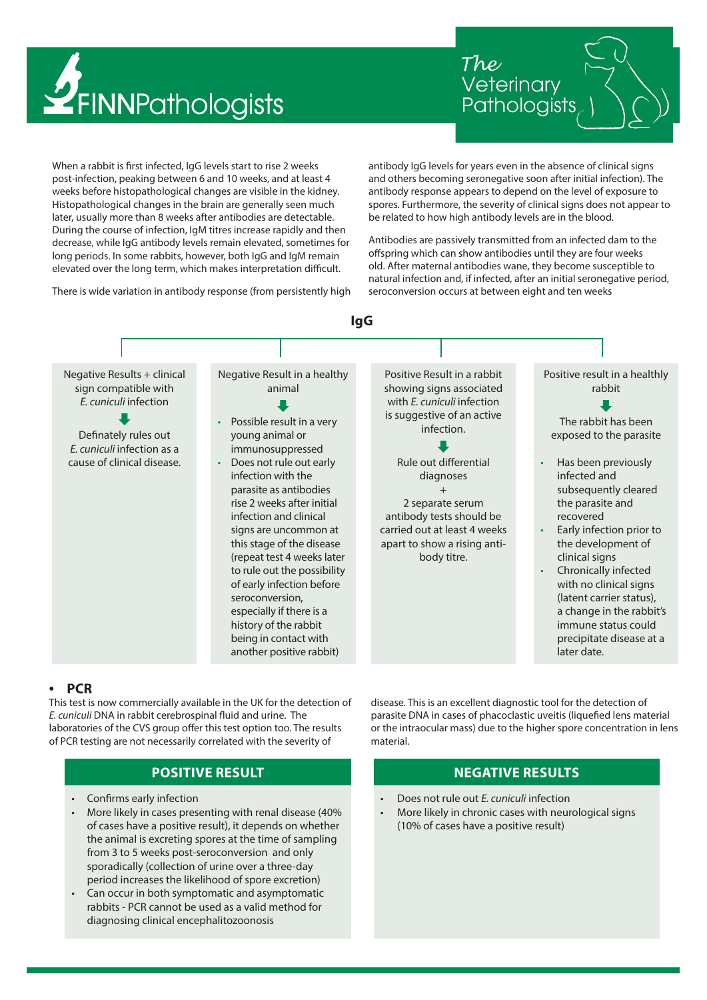

When a rabbit is first infected, IgG levels start to rise 2 weeks post-infection, peaking between 6 and 10 weeks, and at least 4 weeks before histopathological changes are visible in the kidney. Histopathological changes in the brain are generally seen much later, usually more than 8 weeks after antibodies are detectable. During the course of infection, IgM titres increase rapidly and then decrease, while IgG antibody levels remain elevated, sometimes for long periods. In some rabbits, however, both IgG and IgM remain elevated over the long term, which makes interpretation difficult.

There is wide variation in antibody response (from persistently high

antibody IgG levels for years even in the absence of clinical signs and others becoming seronegative soon after initial infection). The antibody response appears to depend on the level of exposure to spores. Furthermore, the severity of clinical signs does not appear to be related to how high antibody levels are in the blood.

Veterinary

Pathologists

Antibodies are passively transmitted from an infected dam to the offspring which can show antibodies until they are four weeks old. After maternal antibodies wane, they become susceptible to natural infection and, if infected, after an initial seronegative period, seroconversion occurs at between eight and ten weeks



#### **• PCR**

This test is now commercially available in the UK for the detection of *E. cuniculi* DNA in rabbit cerebrospinal fluid and urine. The laboratories of the CVS group offer this test option too. The results of PCR testing are not necessarily correlated with the severity of

# **Positive Result**

- Confirms early infection
- More likely in cases presenting with renal disease (40% of cases have a positive result), it depends on whether the animal is excreting spores at the time of sampling from 3 to 5 weeks post-seroconversion and only sporadically (collection of urine over a three-day period increases the likelihood of spore excretion)
- Can occur in both symptomatic and asymptomatic rabbits - PCR cannot be used as a valid method for diagnosing clinical encephalitozoonosis

disease. This is an excellent diagnostic tool for the detection of parasite DNA in cases of phacoclastic uveitis (liquefied lens material or the intraocular mass) due to the higher spore concentration in lens material.

# **Negative Results**

- Does not rule out *E. cuniculi* infection
- More likely in chronic cases with neurological signs (10% of cases have a positive result)